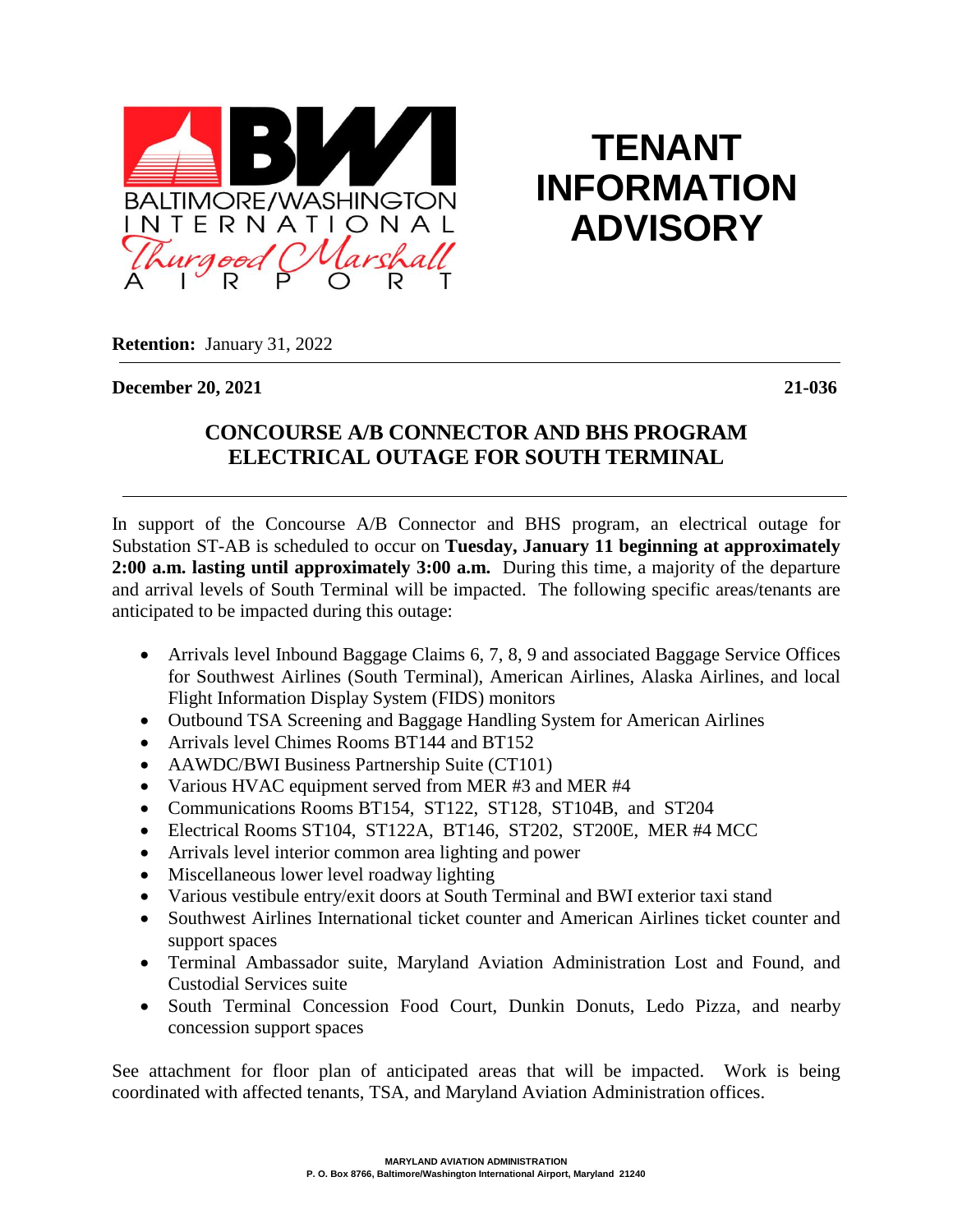

**TENANT INFORMATION ADVISORY**

**Retention:** January 31, 2022

**December 20, 2021 21-036**

## **CONCOURSE A/B CONNECTOR AND BHS PROGRAM ELECTRICAL OUTAGE FOR SOUTH TERMINAL**

In support of the Concourse A/B Connector and BHS program, an electrical outage for Substation ST-AB is scheduled to occur on **Tuesday, January 11 beginning at approximately 2:00 a.m. lasting until approximately 3:00 a.m.** During this time, a majority of the departure and arrival levels of South Terminal will be impacted. The following specific areas/tenants are anticipated to be impacted during this outage:

- Arrivals level Inbound Baggage Claims 6, 7, 8, 9 and associated Baggage Service Offices for Southwest Airlines (South Terminal), American Airlines, Alaska Airlines, and local Flight Information Display System (FIDS) monitors
- Outbound TSA Screening and Baggage Handling System for American Airlines
- Arrivals level Chimes Rooms BT144 and BT152
- AAWDC/BWI Business Partnership Suite (CT101)
- Various HVAC equipment served from MER #3 and MER #4
- Communications Rooms BT154, ST122, ST128, ST104B, and ST204
- Electrical Rooms ST104, ST122A, BT146, ST202, ST200E, MER #4 MCC
- Arrivals level interior common area lighting and power
- Miscellaneous lower level roadway lighting
- Various vestibule entry/exit doors at South Terminal and BWI exterior taxi stand
- Southwest Airlines International ticket counter and American Airlines ticket counter and support spaces
- Terminal Ambassador suite, Maryland Aviation Administration Lost and Found, and Custodial Services suite
- South Terminal Concession Food Court, Dunkin Donuts, Ledo Pizza, and nearby concession support spaces

See attachment for floor plan of anticipated areas that will be impacted. Work is being coordinated with affected tenants, TSA, and Maryland Aviation Administration offices.